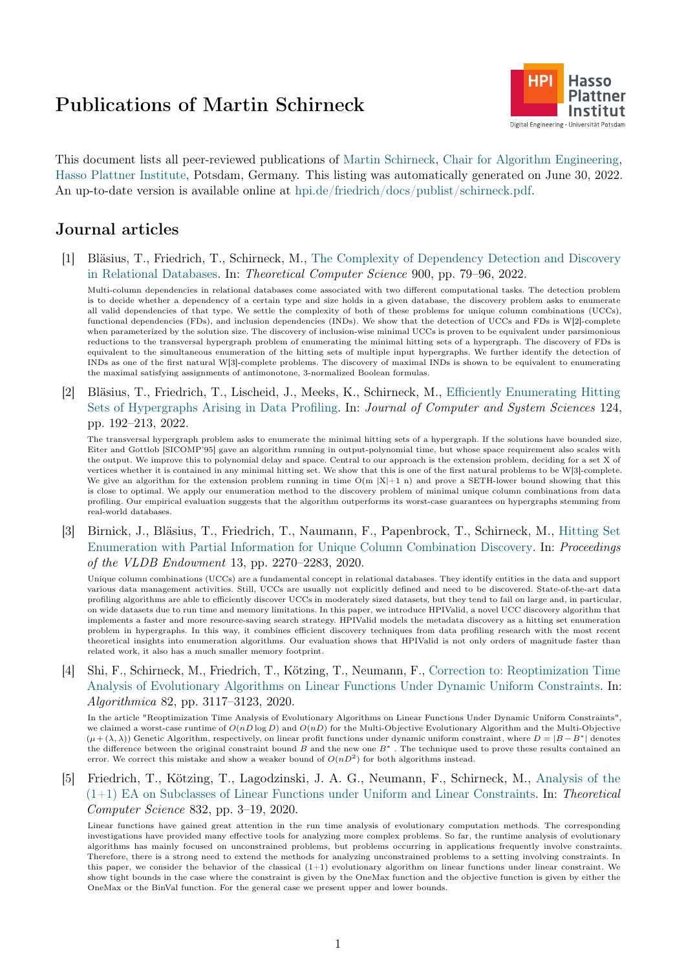# Publications of Martin Schirneck



This document lists all peer-reviewed publications of [Martin Schirneck,](https://hpi.de/friedrich/people/martin-schirneck.html) [Chair for Algorithm Engineering,](https://hpi.de/friedrich/) [Hasso Plattner Institute,](https://hpi.de/en/) Potsdam, Germany. This listing was automatically generated on June 30, 2022. An up-to-date version is available online at [hpi.de/friedrich/docs/publist/schirneck.pdf.](https://hpi.de/friedrich/docs/publist/schirneck.pdf)

# Journal articles

[1] Bläsius, T., Friedrich, T., Schirneck, M., [The Complexity of Dependency Detection and Discovery](http://dx.doi.org/10.1016/j.tcs.2021.11.020) [in Relational Databases.](http://dx.doi.org/10.1016/j.tcs.2021.11.020) In: Theoretical Computer Science 900, pp. 79–96, 2022.

Multi-column dependencies in relational databases come associated with two different computational tasks. The detection problem is to decide whether a dependency of a certain type and size holds in a given database, the discovery problem asks to enumerate all valid dependencies of that type. We settle the complexity of both of these problems for unique column combinations (UCCs), functional dependencies (FDs), and inclusion dependencies (INDs). We show that the detection of UCCs and FDs is W[2]-complete when parameterized by the solution size. The discovery of inclusion-wise minimal UCCs is proven to be equivalent under parsimonious reductions to the transversal hypergraph problem of enumerating the minimal hitting sets of a hypergraph. The discovery of FDs is equivalent to the simultaneous enumeration of the hitting sets of multiple input hypergraphs. We further identify the detection of INDs as one of the first natural W[3]-complete problems. The discovery of maximal INDs is shown to be equivalent to enumerating the maximal satisfying assignments of antimonotone, 3-normalized Boolean formulas.

[2] Bläsius, T., Friedrich, T., Lischeid, J., Meeks, K., Schirneck, M., [Efficiently Enumerating Hitting](http://dx.doi.org/10.1016/j.jcss.2021.10.002) [Sets of Hypergraphs Arising in Data Profiling.](http://dx.doi.org/10.1016/j.jcss.2021.10.002) In: Journal of Computer and System Sciences 124, pp. 192–213, 2022.

The transversal hypergraph problem asks to enumerate the minimal hitting sets of a hypergraph. If the solutions have bounded size, Eiter and Gottlob [SICOMP'95] gave an algorithm running in output-polynomial time, but whose space requirement also scales with the output. We improve this to polynomial delay and space. Central to our approach is the extension problem, deciding for a set X of vertices whether it is contained in any minimal hitting set. We show that this is one of the first natural problems to be W[3]-complete. We give an algorithm for the extension problem running in time  $O(m |X|+1 n)$  and prove a SETH-lower bound showing that this is close to optimal. We apply our enumeration method to the discovery problem of minimal unique column combinations from data profiling. Our empirical evaluation suggests that the algorithm outperforms its worst-case guarantees on hypergraphs stemming from real-world databases.

[3] Birnick, J., Bläsius, T., Friedrich, T., Naumann, F., Papenbrock, T., Schirneck, M., [Hitting Set](http://dx.doi.org/10.14778/3407790.3407824) [Enumeration with Partial Information for Unique Column Combination Discovery.](http://dx.doi.org/10.14778/3407790.3407824) In: Proceedings of the VLDB Endowment 13, pp. 2270–2283, 2020.

Unique column combinations (UCCs) are a fundamental concept in relational databases. They identify entities in the data and support various data management activities. Still, UCCs are usually not explicitly defined and need to be discovered. State-of-the-art data profiling algorithms are able to efficiently discover UCCs in moderately sized datasets, but they tend to fail on large and, in particular, on wide datasets due to run time and memory limitations. In this paper, we introduce HPIValid, a novel UCC discovery algorithm that implements a faster and more resource-saving search strategy. HPIValid models the metadata discovery as a hitting set enumeration problem in hypergraphs. In this way, it combines efficient discovery techniques from data profiling research with the most recent theoretical insights into enumeration algorithms. Our evaluation shows that HPIValid is not only orders of magnitude faster than related work, it also has a much smaller memory footprint.

[4] Shi, F., Schirneck, M., Friedrich, T., Kötzing, T., Neumann, F., [Correction to: Reoptimization Time](http://dx.doi.org/10.1007/s00453-020-00739-x) [Analysis of Evolutionary Algorithms on Linear Functions Under Dynamic Uniform Constraints.](http://dx.doi.org/10.1007/s00453-020-00739-x) In: Algorithmica 82, pp. 3117–3123, 2020.

In the article "Reoptimization Time Analysis of Evolutionary Algorithms on Linear Functions Under Dynamic Uniform Constraints", we claimed a worst-case runtime of  $O(nD \log D)$  and  $O(nD)$  for the Multi-Objective Evolutionary Algorithm and the Multi-Objective  $(\mu + (\lambda, \lambda))$  Genetic Algorithm, respectively, on linear profit functions under dynamic uniform constraint, where  $D = |B - B^*|$  denotes the difference between the original constraint bound  $B$  and the new one  $B^*$ . The technique used to prove these results contained an error. We correct this mistake and show a weaker bound of  $O(nD^2)$  for both algorithms instead.

[5] Friedrich, T., Kötzing, T., Lagodzinski, J. A. G., Neumann, F., Schirneck, M., [Analysis of the](http://dx.doi.org/10.1016/j.tcs.2018.04.051)  $(1+1)$  EA on Subclasses of Linear Functions under Uniform and Linear Constraints. In: Theoretical Computer Science 832, pp. 3–19, 2020.

Linear functions have gained great attention in the run time analysis of evolutionary computation methods. The corresponding investigations have provided many effective tools for analyzing more complex problems. So far, the runtime analysis of evolutionary algorithms has mainly focused on unconstrained problems, but problems occurring in applications frequently involve constraints. Therefore, there is a strong need to extend the methods for analyzing unconstrained problems to a setting involving constraints. In this paper, we consider the behavior of the classical  $(1+1)$  evolutionary algorithm on linear functions under linear constraint. We show tight bounds in the case where the constraint is given by the OneMax function and the objective function is given by either the OneMax or the BinVal function. For the general case we present upper and lower bounds.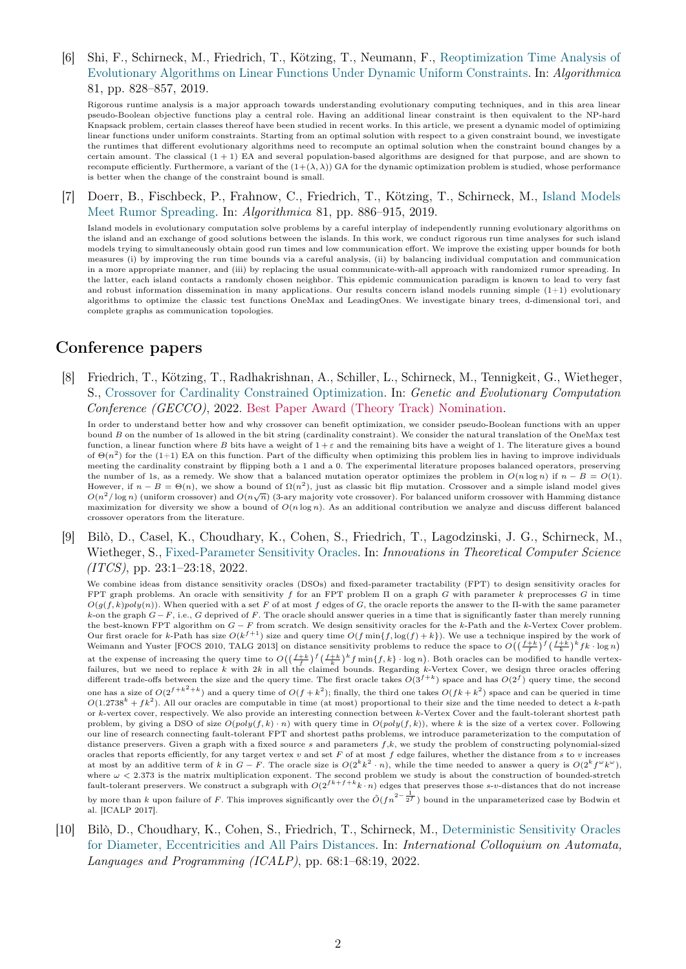[6] Shi, F., Schirneck, M., Friedrich, T., Kötzing, T., Neumann, F., [Reoptimization Time Analysis of](http://dx.doi.org/10.1007/s00453-018-0451-4) [Evolutionary Algorithms on Linear Functions Under Dynamic Uniform Constraints.](http://dx.doi.org/10.1007/s00453-018-0451-4) In: Algorithmica 81, pp. 828–857, 2019.

Rigorous runtime analysis is a major approach towards understanding evolutionary computing techniques, and in this area linear pseudo-Boolean objective functions play a central role. Having an additional linear constraint is then equivalent to the NP-hard Knapsack problem, certain classes thereof have been studied in recent works. In this article, we present a dynamic model of optimizing linear functions under uniform constraints. Starting from an optimal solution with respect to a given constraint bound, we investigate the runtimes that different evolutionary algorithms need to recompute an optimal solution when the constraint bound changes by a certain amount. The classical (1 + 1) EA and several population-based algorithms are designed for that purpose, and are shown to recompute efficiently. Furthermore, a variant of the  $(1+(\lambda, \lambda))$  GA for the dynamic optimization problem is studied, whose performance is better when the change of the constraint bound is small.

[7] Doerr, B., Fischbeck, P., Frahnow, C., Friedrich, T., Kötzing, T., Schirneck, M., [Island Models](http://dx.doi.org/10.1007/s00453-018-0445-2) [Meet Rumor Spreading.](http://dx.doi.org/10.1007/s00453-018-0445-2) In: Algorithmica 81, pp. 886–915, 2019.

Island models in evolutionary computation solve problems by a careful interplay of independently running evolutionary algorithms on the island and an exchange of good solutions between the islands. In this work, we conduct rigorous run time analyses for such island models trying to simultaneously obtain good run times and low communication effort. We improve the existing upper bounds for both measures (i) by improving the run time bounds via a careful analysis, (ii) by balancing individual computation and communication in a more appropriate manner, and (iii) by replacing the usual communicate-with-all approach with randomized rumor spreading. In the latter, each island contacts a randomly chosen neighbor. This epidemic communication paradigm is known to lead to very fast and robust information dissemination in many applications. Our results concern island models running simple  $(1+1)$  evolutionary algorithms to optimize the classic test functions OneMax and LeadingOnes. We investigate binary trees, d-dimensional tori, and complete graphs as communication topologies.

# Conference papers

[8] Friedrich, T., Kötzing, T., Radhakrishnan, A., Schiller, L., Schirneck, M., Tennigkeit, G., Wietheger, S., [Crossover for Cardinality Constrained Optimization.](http://dx.doi.org/10.1145/3512290.3528713) In: Genetic and Evolutionary Computation Conference (GECCO), 2022. Best Paper Award (Theory Track) Nomination.

In order to understand better how and why crossover can benefit optimization, we consider pseudo-Boolean functions with an upper bound B on the number of 1s allowed in the bit string (cardinality constraint). We consider the natural translation of the OneMax test function, a linear function where B bits have a weight of  $1+\varepsilon$  and the remaining bits have a weight of 1. The literature gives a bound of  $\Theta(n^2)$  for the (1+1) EA on this function. Part of the difficulty when optimizing this problem lies in having to improve individuals meeting the cardinality constraint by flipping both a 1 and a 0. The experimental literature proposes balanced operators, preserving the number of 1s, as a remedy. We show that a balanced mutation operator optimizes the problem in  $O(n \log n)$  if  $n - B = O(1)$ . However, if  $n - B = \Theta(n)$ , we show a bound of  $\Omega(n^2)$ , just as classic bit flip mutation. Crossover and a simple island model gives  $O(n^2/\log n)$  (uniform crossover) and  $O(n\sqrt{n})$  (3-ary majority vote crossover). For balanced uniform crossover with Hamming distance  $O(n^2/\log n)$ maximization for diversity we show a bound of  $O(n \log n)$ . As an additional contribution we analyze and discuss different balanced crossover operators from the literature.

[9] Bilò, D., Casel, K., Choudhary, K., Cohen, S., Friedrich, T., Lagodzinski, J. G., Schirneck, M., Wietheger, S., [Fixed-Parameter Sensitivity Oracles.](http://dx.doi.org/10.4230/LIPIcs.ITCS.2022.23) In: *Innovations in Theoretical Computer Science* (ITCS), pp. 23:1–23:18, 2022.

We combine ideas from distance sensitivity oracles (DSOs) and fixed-parameter tractability (FPT) to design sensitivity oracles for FPT graph problems. An oracle with sensitivity f for an FPT problem  $\Pi$  on a graph G with parameter k preprocesses G in time  $O(q(f, k)poly(n))$ . When queried with a set F of at most f edges of G, the oracle reports the answer to the II-with the same parameter k-on the graph  $G-F$ , i.e., G deprived of F. The oracle should answer queries in a time that is significantly faster than merely running the best-known FPT algorithm on G − F from scratch. We design sensitivity oracles for the k-Path and the k-Vertex Cover problem. Our first oracle for k-Path has size  $O(k^{f+1})$  size and query time  $O(f \min\{f, \log(f) + k\})$ . We use a technique inspired by the work of Weimann and Yuster [FOCS 2010, TALG 2013] on distance sensitivity problems to reduce the space to  $O((\frac{f+k}{f})^f(\frac{f+k}{k})^kfk \cdot \log n)$ at the expense of increasing the query time to  $O((\frac{f+k}{f})^f(\frac{f+k}{k})^kf\min\{f,k\}\cdot \log n)$ . Both oracles can be modified to handle vertexfailures, but we need to replace k with 2k in all the claimed bounds. Regarding k-Vertex Cover, we design three oracles offering different trade-offs between the size and the query time. The first oracle takes  $O(3^{f+k})$  space and has  $O(2^f)$  query time, the second one has a size of  $O(2^{f+k^2+k})$  and a query time of  $O(f+k^2)$ ; finally, the third one takes  $O(fk+k^2)$  space and can be queried in time  $O(1.2738<sup>k</sup> + fk<sup>2</sup>)$ . All our oracles are computable in time (at most) proportional to their size and the time needed to detect a k-path or k-vertex cover, respectively. We also provide an interesting connection between k-Vertex Cover and the fault-tolerant shortest path problem, by giving a DSO of size  $O(poly(f, k) \cdot n)$  with query time in  $O(poly(f, k))$ , where k is the size of a vertex cover. Following our line of research connecting fault-tolerant FPT and shortest paths problems, we introduce parameterization to the computation of distance preservers. Given a graph with a fixed source  $s$  and parameters  $f,k$ , we study the problem of constructing polynomial-sized oracles that reports efficiently, for any target vertex  $v$  and set  $F$  of at most  $f$  edge failures, whether the distance from  $s$  to  $v$  increases at most by an additive term of k in  $G - F$ . The oracle size is  $O(2^k k^2 \cdot n)$ , while the time needed to answer a query is  $O(2^k f^{\omega} k^{\omega})$ , where  $\omega < 2.373$  is the matrix multiplication exponent. The second problem we study is about the construction of bounded-stretch fault-tolerant preservers. We construct a subgraph with  $O(2^{fk+f+k}k \cdot n)$  edges that preserve by more than k upon failure of F. This improves significantly over the  $\tilde{O}(fn^{2-\frac{1}{2f}})$  bound in the unparameterized case by Bodwin et al. [ICALP 2017].

[10] Bilò, D., Choudhary, K., Cohen, S., Friedrich, T., Schirneck, M., [Deterministic Sensitivity Oracles](http://dx.doi.org/10.4230/LIPIcs.ICALP.2022.68) [for Diameter, Eccentricities and All Pairs Distances.](http://dx.doi.org/10.4230/LIPIcs.ICALP.2022.68) In: International Colloquium on Automata, Languages and Programming (ICALP), pp. 68:1–68:19, 2022.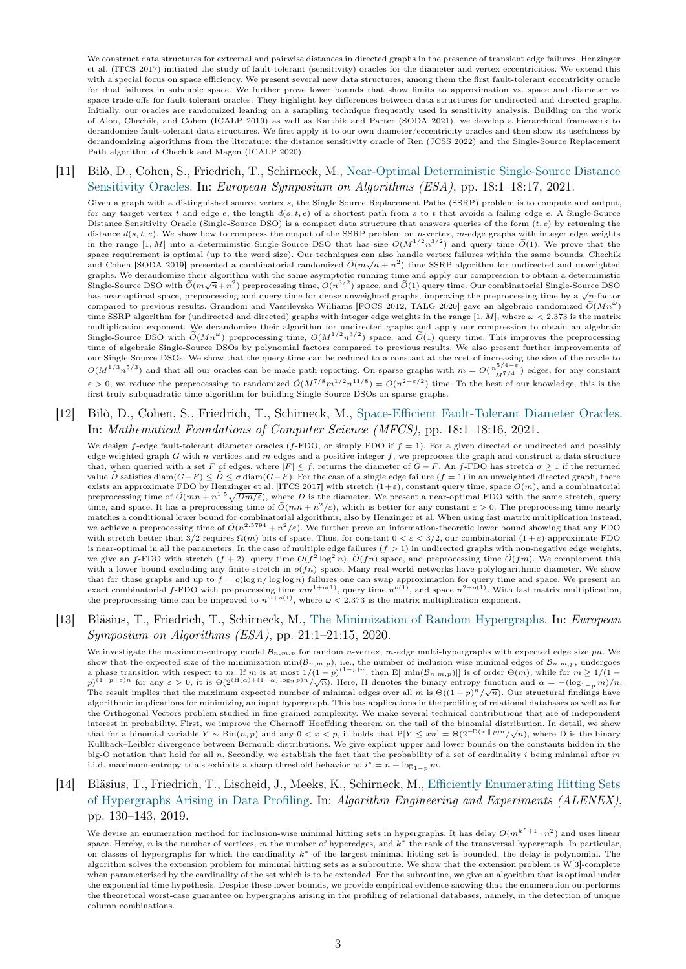We construct data structures for extremal and pairwise distances in directed graphs in the presence of transient edge failures. Henzinger et al. (ITCS 2017) initiated the study of fault-tolerant (sensitivity) oracles for the diameter and vertex eccentricities. We extend this with a special focus on space efficiency. We present several new data structures, among them the first fault-tolerant eccentricity oracle for dual failures in subcubic space. We further prove lower bounds that show limits to approximation vs. space and diameter vs. space trade-offs for fault-tolerant oracles. They highlight key differences between data structures for undirected and directed graphs. Initially, our oracles are randomized leaning on a sampling technique frequently used in sensitivity analysis. Building on the work of Alon, Chechik, and Cohen (ICALP 2019) as well as Karthik and Parter (SODA 2021), we develop a hierarchical framework to derandomize fault-tolerant data structures. We first apply it to our own diameter/eccentricity oracles and then show its usefulness by derandomizing algorithms from the literature: the distance sensitivity oracle of Ren (JCSS 2022) and the Single-Source Replacement Path algorithm of Chechik and Magen (ICALP 2020).

#### [11] Bilò, D., Cohen, S., Friedrich, T., Schirneck, M., [Near-Optimal Deterministic Single-Source Distance](http://dx.doi.org/10.4230/LIPIcs.ESA.2021.18) [Sensitivity Oracles.](http://dx.doi.org/10.4230/LIPIcs.ESA.2021.18) In: European Symposium on Algorithms (ESA), pp. 18:1–18:17, 2021.

Given a graph with a distinguished source vertex s, the Single Source Replacement Paths (SSRP) problem is to compute and output, for any target vertex t and edge e, the length  $d(s, t, e)$  of a shortest path from s to t that avoids a failing edge e. A Single-Source Distance Sensitivity Oracle (Single-Source DSO) is a compact data structure that answers queries of the form  $(t, e)$  by returning the distance  $d(s, t, e)$ . We show how to compress the output of the SSRP problem on *n*-vertex, *m*-edge graphs with integer edge weights<br>in the range [1, M] into a deterministic Single-Source DSO that has size  $O(M^{1/2}n^{3/2})$  space requirement is optimal (up to the word size). Our techniques can also handle vertex failures within the same bounds. Chechik and Cohen [SODA 2019] presented a combinatorial randomized  $\tilde{O}(m\sqrt{n}+n^2)$  time SSRP algorithm for undirected and unweighted and unweighted graphs. We derandomize their algorithm with the same asymptotic running time and apply our compression to obtain a deterministic Single-Source DSO with  $\tilde{O}(m\sqrt{n}+n^2)$  preprocessing time,  $O(n^{3/2})$  space, and  $\tilde{O}(1)$  query time. Our combinatorial Single-Source DSO has near-optimal space, preprocessing and query time for dense unweighted graphs, improving the preprocessing time by a  $\sqrt{n}$ -factor compared to previous results. Grandoni and Vassilevska Williams [FOCS 2012, TALG 2020] gave an algebraic randomized  $\tilde{O}(Mn^{\omega})$ time SSRP algorithm for (undirected and directed) graphs with integer edge weights in the range [1, M], where  $\omega < 2.373$  is the matrix multiplication exponent. We derandomize their algorithm for undirected graphs and apply our compression to obtain an algebraic Single-Source DSO with  $\tilde{O}(Mn^{\omega})$  preprocessing time,  $O(M^{1/2}n^{3/2})$  space, and  $\tilde{O}(1)$  query time. This improves the preprocessing time of algebraic Single-Source DSOs by polynomial factors compared to previous results. We also present further improvements of our Single-Source DSOs. We show that the query time can be reduced to a constant at the cost of increasing the size of the oracle to  $O(M^{1/3}n^{5/3})$  and that all our oracles can be made path-reporting. On sparse graphs with  $m = O(\frac{n^{5/4-\epsilon}}{M^{7/4}})$  edges, for any constant  $\varepsilon > 0$ , we reduce the preprocessing to randomized  $\tilde{O}(M^{7/8}m^{1/2}n^{11/8}) = O(n^{2-\varepsilon/2})$  time. To the best of our knowledge, this is the first truly subquadratic time algorithm for building Single-Source DSOs on sparse graphs.

#### [12] Bilò, D., Cohen, S., Friedrich, T., Schirneck, M., [Space-Efficient Fault-Tolerant Diameter Oracles.](http://dx.doi.org/10.4230/LIPIcs.MFCS.2021.18) In: Mathematical Foundations of Computer Science (MFCS), pp. 18:1–18:16, 2021.

We design f-edge fault-tolerant diameter oracles (f-FDO, or simply FDO if  $f = 1$ ). For a given directed or undirected and possibly edge-weighted graph G with n vertices and  $m$  edges and a positive integer  $f$ , we preprocess the graph and construct a data structure that, when queried with a set F of edges, where  $|F| \leq f$ , returns the diameter of  $G - F$ . An f-FDO has stretch  $\sigma \geq 1$  if the returned value  $\widehat{D}$  satisfies diam( $G-F$ )  $\leq \widehat{D} \leq \sigma$  diam( $G-F$ ). For the case of a single edge failure (f = 1) in an unweighted directed graph, there exists an approximate FDO by Henzinger et al. [ITCS 2017] with stretch  $(1+\varepsilon)$ , constant query time, space  $O(m)$ , and a combinatorial preprocessing time of  $\tilde{O}(mn + n^{1.5}\sqrt{Dm/\varepsilon})$ , where D is the diameter. We present a near-optimal FDO with the same stretch, query time, and space. It has a preprocessing time of  $\tilde{O}(mn + n^2/\varepsilon)$ , which is better for any constant  $\varepsilon > 0$ . The preprocessing time nearly matches a conditional lower bound for combinatorial algorithms, also by Henzinger et al. When using fast matrix multiplication instead, we achieve a preprocessing time of  $\tilde{O}(n^{2.5794} + n^2/\varepsilon)$ . We further prove an information-theoretic lower bound showing that any FDO with stretch better than  $3/2$  requires  $\Omega(m)$  bits of space. Thus, for constant  $0 < \varepsilon < 3/2$ , our combinatorial  $(1 + \varepsilon)$ -approximate FDO is near-optimal in all the parameters. In the case of multiple edge failures  $(f > 1)$  in undirected graphs with non-negative edge weights, we give an f-FDO with stretch  $(f + 2)$ , query time  $O(f^2 \log^2 n)$ ,  $\tilde{O}(fn)$  space, and preprocessing time  $\tilde{O}(fm)$ . We complement this with a lower bound excluding any finite stretch in  $o(fn)$  space. Many real-world networks have polylogarithmic diameter. We show that for those graphs and up to  $f = o(\log n / \log \log n)$  failures one can swap approximation for query time and space. We present an exact combinatorial f-FDO with preprocessing time  $mn^{1+o(1)}$ , query time  $n^{o(1)}$ , and space  $n^{2$ the preprocessing time can be improved to  $n^{\omega+o(1)}$ , where  $\omega < 2.373$  is the matrix multiplication exponent.

#### [13] Bläsius, T., Friedrich, T., Schirneck, M., [The Minimization of Random Hypergraphs.](http://dx.doi.org/10.4230/LIPIcs.ESA.2020.21) In: European Symposium on Algorithms (ESA), pp. 21:1–21:15, 2020.

We investigate the maximum-entropy model  $B_{n,m,p}$  for random n-vertex, m-edge multi-hypergraphs with expected edge size pn. We show that the expected size of the minimization min( $\mathcal{B}_{n,m,p}$ ), i.e., the number of inclusion-wise minimal edges of  $\mathcal{B}_{n,m,p}$ , undergoes a phase transition with respect to m. If m is at most  $1/(1-p)^{(1-p)n}$ , then  $\mathbb{E}[\min(\mathcal{B}_{n,m,p})]$  is of order  $\Theta(m)$ , while for  $m \geq 1/(1-p)^{(1-p)n}$ a phase transition with respect to *m*. If *m* is at most  $1/(1-p)$ , then E<sub>[[</sub> mm( $\sigma_n$ ,*m,p*)<sub>[</sub>] is of order  $O(m)$ , while for  $m \ge 1/(1-p)$ <br> $p$ <sup>(1-p+e)</sup> for any  $\varepsilon > 0$ , it is  $\Theta(2^{(H(\alpha)+(1-\alpha)\log_2 p)n}/\sqrt{n})$ . Here, H denotes t The result implies that the maximum expected number of minimal edges over all m is  $\Theta((1+p)^n/\sqrt{n})$ . Our structural findings have algorithmic implications for minimizing an input hypergraph. This has applications in the profiling of relational databases as well as for the Orthogonal Vectors problem studied in fine-grained complexity. We make several technical contributions that are of independent interest in probability. First, we improve the Chernoff–Hoeffding theorem on the tail of the binomial distribution. In detail, we show that for a binomial variable Y ~ Bin $(n, p)$  and any  $0 < x < p$ , it holds that  $P[Y \leq xn] = \Theta(2^{-D(x||p)n}/\sqrt{n})$ , where D is the binary Kullback–Leibler divergence between Bernoulli distributions. We give explicit upper and lower bounds on the constants hidden in the big-O notation that hold for all  $n$ . Secondly, we establish the fact that the probability of a set of cardinality  $i$  being minimal after  $m$ i.i.d. maximum-entropy trials exhibits a sharp threshold behavior at  $i^* = n + \log_{1-p} m$ .

## [14] Bläsius, T., Friedrich, T., Lischeid, J., Meeks, K., Schirneck, M., [Efficiently Enumerating Hitting Sets](http://dx.doi.org/10.1137/1.9781611975499.11) [of Hypergraphs Arising in Data Profiling.](http://dx.doi.org/10.1137/1.9781611975499.11) In: Algorithm Engineering and Experiments (ALENEX), pp. 130–143, 2019.

We devise an enumeration method for inclusion-wise minimal hitting sets in hypergraphs. It has delay  $O(m^{k^*+1} \cdot n^2)$  and uses linear space. Hereby, n is the number of vertices, m the number of hyperedges, and  $k^*$  the rank of the transversal hypergraph. In particular, on classes of hypergraphs for which the cardinality  $k^*$  of the largest minimal hitting set is bounded, the delay is polynomial. The algorithm solves the extension problem for minimal hitting sets as a subroutine. We show that the extension problem is W[3]-complete when parameterised by the cardinality of the set which is to be extended. For the subroutine, we give an algorithm that is optimal under the exponential time hypothesis. Despite these lower bounds, we provide empirical evidence showing that the enumeration outperforms the theoretical worst-case guarantee on hypergraphs arising in the profiling of relational databases, namely, in the detection of unique column combinations.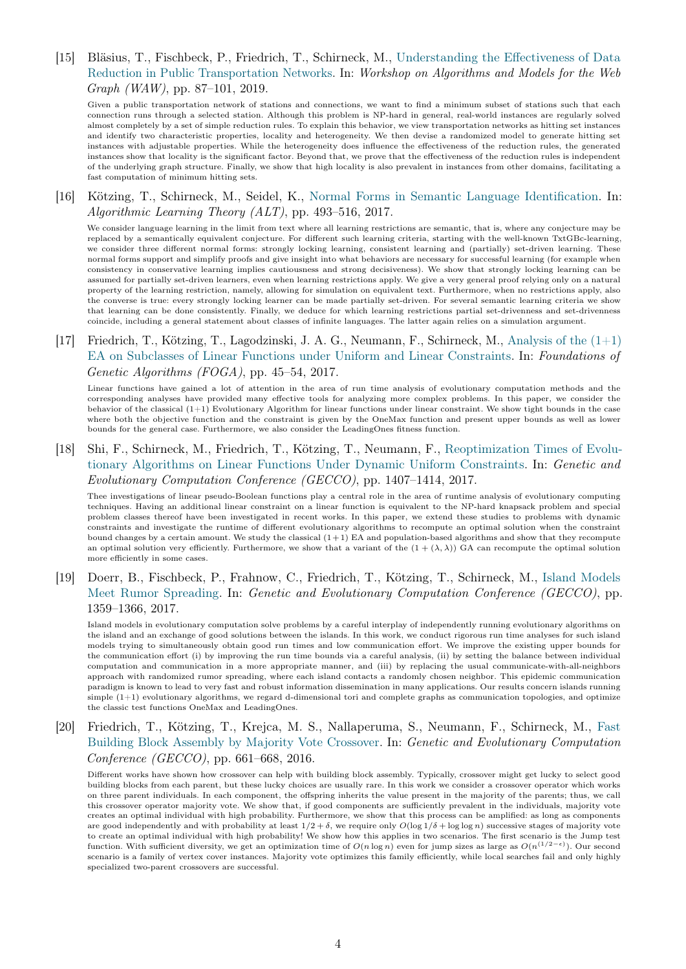[15] Bläsius, T., Fischbeck, P., Friedrich, T., Schirneck, M., [Understanding the Effectiveness of Data](http://dx.doi.org/10.1007/978-3-030-25070-6_7) [Reduction in Public Transportation Networks.](http://dx.doi.org/10.1007/978-3-030-25070-6_7) In: Workshop on Algorithms and Models for the Web Graph (WAW), pp. 87–101, 2019.

Given a public transportation network of stations and connections, we want to find a minimum subset of stations such that each connection runs through a selected station. Although this problem is NP-hard in general, real-world instances are regularly solved almost completely by a set of simple reduction rules. To explain this behavior, we view transportation networks as hitting set instances and identify two characteristic properties, locality and heterogeneity. We then devise a randomized model to generate hitting set instances with adjustable properties. While the heterogeneity does influence the effectiveness of the reduction rules, the generated instances show that locality is the significant factor. Beyond that, we prove that the effectiveness of the reduction rules is independent of the underlying graph structure. Finally, we show that high locality is also prevalent in instances from other domains, facilitating a fast computation of minimum hitting sets.

[16] Kötzing, T., Schirneck, M., Seidel, K., [Normal Forms in Semantic Language Identification.](http://proceedings.mlr.press/v76/k%C3%B6tzing17a.html) In: Algorithmic Learning Theory (ALT), pp. 493–516, 2017.

We consider language learning in the limit from text where all learning restrictions are semantic, that is, where any conjecture may be replaced by a semantically equivalent conjecture. For different such learning criteria, starting with the well-known TxtGBc-learning, we consider three different normal forms: strongly locking learning, consistent learning and (partially) set-driven learning. These normal forms support and simplify proofs and give insight into what behaviors are necessary for successful learning (for example when consistency in conservative learning implies cautiousness and strong decisiveness). We show that strongly locking learning can be assumed for partially set-driven learners, even when learning restrictions apply. We give a very general proof relying only on a natural property of the learning restriction, namely, allowing for simulation on equivalent text. Furthermore, when no restrictions apply, also the converse is true: every strongly locking learner can be made partially set-driven. For several semantic learning criteria we show that learning can be done consistently. Finally, we deduce for which learning restrictions partial set-drivenness and set-drivenness coincide, including a general statement about classes of infinite languages. The latter again relies on a simulation argument.

[17] Friedrich, T., Kötzing, T., Lagodzinski, J. A. G., Neumann, F., Schirneck, M., [Analysis of the \(1+1\)](http://dx.doi.org/10.1145/3040718.3040728) [EA on Subclasses of Linear Functions under Uniform and Linear Constraints.](http://dx.doi.org/10.1145/3040718.3040728) In: Foundations of Genetic Algorithms (FOGA), pp. 45–54, 2017.

Linear functions have gained a lot of attention in the area of run time analysis of evolutionary computation methods and the corresponding analyses have provided many effective tools for analyzing more complex problems. In this paper, we consider the behavior of the classical (1+1) Evolutionary Algorithm for linear functions under linear constraint. We show tight bounds in the case where both the objective function and the constraint is given by the OneMax function and present upper bounds as well as lower bounds for the general case. Furthermore, we also consider the LeadingOnes fitness function.

[18] Shi, F., Schirneck, M., Friedrich, T., Kötzing, T., Neumann, F., [Reoptimization Times of Evolu](http://dx.doi.org/10.1145/3071178.3071270)[tionary Algorithms on Linear Functions Under Dynamic Uniform Constraints.](http://dx.doi.org/10.1145/3071178.3071270) In: Genetic and Evolutionary Computation Conference (GECCO), pp. 1407–1414, 2017.

Thee investigations of linear pseudo-Boolean functions play a central role in the area of runtime analysis of evolutionary computing techniques. Having an additional linear constraint on a linear function is equivalent to the NP-hard knapsack problem and special problem classes thereof have been investigated in recent works. In this paper, we extend these studies to problems with dynamic constraints and investigate the runtime of different evolutionary algorithms to recompute an optimal solution when the constraint bound changes by a certain amount. We study the classical (1+ 1) EA and population-based algorithms and show that they recompute an optimal solution very efficiently. Furthermore, we show that a variant of the  $(1 + (\lambda, \lambda))$  GA can recompute the optimal solution more efficiently in some cases.

[19] Doerr, B., Fischbeck, P., Frahnow, C., Friedrich, T., Kötzing, T., Schirneck, M., [Island Models](http://dx.doi.org/10.1145/3071178.3071206) [Meet Rumor Spreading.](http://dx.doi.org/10.1145/3071178.3071206) In: Genetic and Evolutionary Computation Conference (GECCO), pp. 1359–1366, 2017.

Island models in evolutionary computation solve problems by a careful interplay of independently running evolutionary algorithms on the island and an exchange of good solutions between the islands. In this work, we conduct rigorous run time analyses for such island models trying to simultaneously obtain good run times and low communication effort. We improve the existing upper bounds for the communication effort (i) by improving the run time bounds via a careful analysis, (ii) by setting the balance between individual computation and communication in a more appropriate manner, and (iii) by replacing the usual communicate-with-all-neighbors approach with randomized rumor spreading, where each island contacts a randomly chosen neighbor. This epidemic communication paradigm is known to lead to very fast and robust information dissemination in many applications. Our results concern islands running simple (1+1) evolutionary algorithms, we regard d-dimensional tori and complete graphs as communication topologies, and optimize the classic test functions OneMax and LeadingOnes.

## [20] Friedrich, T., Kötzing, T., Krejca, M. S., Nallaperuma, S., Neumann, F., Schirneck, M., [Fast](http://dx.doi.org/10.1145/2908812.2908884) [Building Block Assembly by Majority Vote Crossover.](http://dx.doi.org/10.1145/2908812.2908884) In: Genetic and Evolutionary Computation Conference (GECCO), pp. 661–668, 2016.

Different works have shown how crossover can help with building block assembly. Typically, crossover might get lucky to select good building blocks from each parent, but these lucky choices are usually rare. In this work we consider a crossover operator which works on three parent individuals. In each component, the offspring inherits the value present in the majority of the parents; thus, we call this crossover operator majority vote. We show that, if good components are sufficiently prevalent in the individuals, majority vote creates an optimal individual with high probability. Furthermore, we show that this process can be amplified: as long as components are good independently and with probability at least  $1/2 + \delta$ , we require only  $O(\log 1/\delta + \log \log n)$  successive stages of majority vote to create an optimal individual with high probability! We show how this applies in two scenarios. The first scenario is the Jump test function. With sufficient diversity, we get an optimization time of  $O(n \log n)$  even for jump sizes as large as  $O(n^{(1/2-\epsilon)})$ . Our second scenario is a family of vertex cover instances. Majority vote optimizes this family efficiently, while local searches fail and only highly specialized two-parent crossovers are successful.